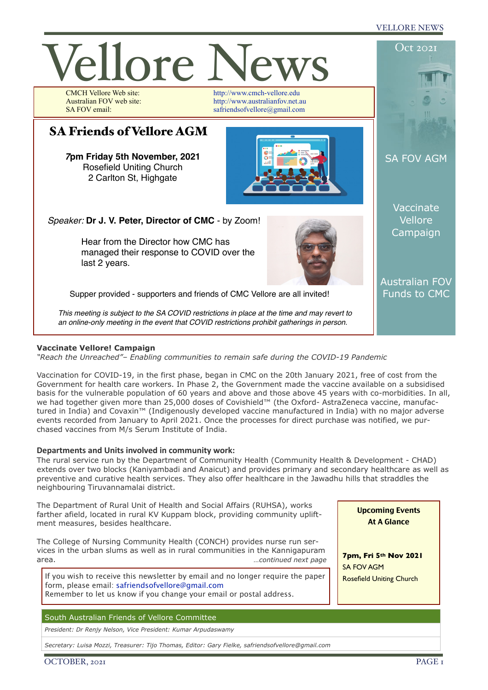## VELLORE NEWS



## **Vaccinate Vellore! Campaign**

*"Reach the Unreached"– Enabling communities to remain safe during the COVID-19 Pandemic* 

Vaccination for COVID-19, in the first phase, began in CMC on the 20th January 2021, free of cost from the Government for health care workers. In Phase 2, the Government made the vaccine available on a subsidised basis for the vulnerable population of 60 years and above and those above 45 years with co-morbidities. In all, we had together given more than 25,000 doses of Covishield™ (the Oxford- AstraZeneca vaccine, manufactured in India) and Covaxin™ (Indigenously developed vaccine manufactured in India) with no major adverse events recorded from January to April 2021. Once the processes for direct purchase was notified, we purchased vaccines from M/s Serum Institute of India.

## **Departments and Units involved in community work:**

The rural service run by the Department of Community Health (Community Health & Development - CHAD) extends over two blocks (Kaniyambadi and Anaicut) and provides primary and secondary healthcare as well as preventive and curative health services. They also offer healthcare in the Jawadhu hills that straddles the neighbouring Tiruvannamalai district.

The Department of Rural Unit of Health and Social Affairs (RUHSA), works farther afield, located in rural KV Kuppam block, providing community upliftment measures, besides healthcare.

The College of Nursing Community Health (CONCH) provides nurse run services in the urban slums as well as in rural communities in the Kannigapuram area. *…continued next page*

If you wish to receive this newsletter by email and no longer require the paper form, please email: [safriendsofvellore@gmail.com](mailto:safriendsofvellore@gmail.com) Remember to let us know if you change your email or postal address.

# South Australian Friends of Vellore Committee

*President: Dr Renjy Nelson, Vice President: Kumar Arpudaswamy*

*Secretary: Luisa Mozzi, Treasurer: Tijo Thomas, Editor: Gary Fielke, safriendsofvellore@gmail.com*



OCTOBER, 2021 PAGE 1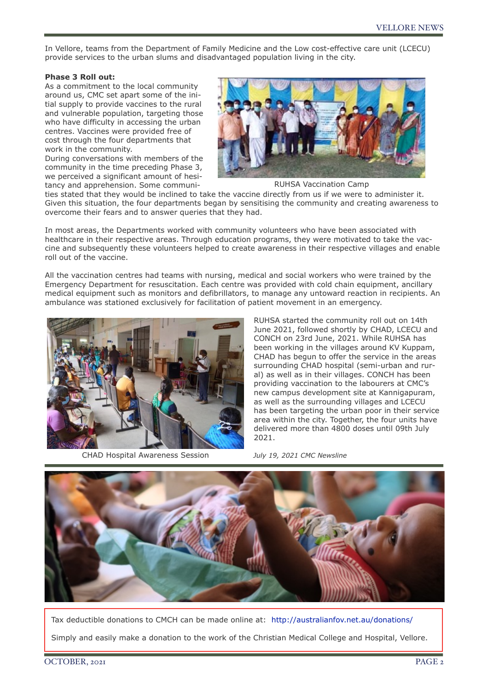In Vellore, teams from the Department of Family Medicine and the Low cost-effective care unit (LCECU) provide services to the urban slums and disadvantaged population living in the city.

## **Phase 3 Roll out:**

As a commitment to the local community around us, CMC set apart some of the initial supply to provide vaccines to the rural and vulnerable population, targeting those who have difficulty in accessing the urban centres. Vaccines were provided free of cost through the four departments that work in the community.

During conversations with members of the community in the time preceding Phase 3, we perceived a significant amount of hesitancy and apprehension. Some communi-



RUHSA Vaccination Camp

ties stated that they would be inclined to take the vaccine directly from us if we were to administer it. Given this situation, the four departments began by sensitising the community and creating awareness to overcome their fears and to answer queries that they had.

In most areas, the Departments worked with community volunteers who have been associated with healthcare in their respective areas. Through education programs, they were motivated to take the vaccine and subsequently these volunteers helped to create awareness in their respective villages and enable roll out of the vaccine.

All the vaccination centres had teams with nursing, medical and social workers who were trained by the Emergency Department for resuscitation. Each centre was provided with cold chain equipment, ancillary medical equipment such as monitors and defibrillators, to manage any untoward reaction in recipients. An ambulance was stationed exclusively for facilitation of patient movement in an emergency.



CHAD Hospital Awareness Session

RUHSA started the community roll out on 14th June 2021, followed shortly by CHAD, LCECU and CONCH on 23rd June, 2021. While RUHSA has been working in the villages around KV Kuppam, CHAD has begun to offer the service in the areas surrounding CHAD hospital (semi-urban and rural) as well as in their villages. CONCH has been providing vaccination to the labourers at CMC's new campus development site at Kannigapuram, as well as the surrounding villages and LCECU has been targeting the urban poor in their service area within the city. Together, the four units have delivered more than 4800 doses until 09th July 2021.

*July 19, 2021 CMC Newsline*



Tax deductible donations to CMCH can be made online at: <http://australianfov.net.au/donations/> Simply and easily make a donation to the work of the Christian Medical College and Hospital, Vellore.